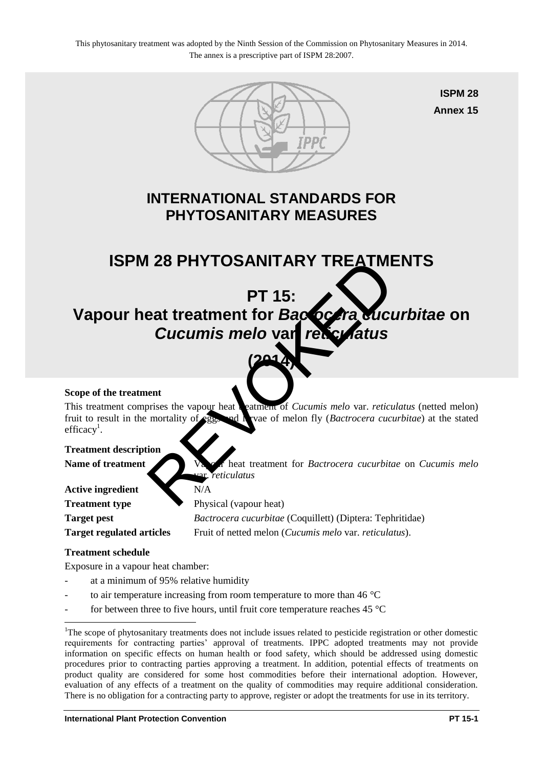This phytosanitary treatment was adopted by the Ninth Session of the Commission on Phytosanitary Measures in 2014. The annex is a prescriptive part of ISPM 28:2007.



**ISPM 28 Annex 15**

## **INTERNATIONAL STANDARDS FOR PHYTOSANITARY MEASURES**

## **ISPM 28 PHYTOSANITARY TREATMENTS**

# **PT 15:**  Vapour heat treatment for *Bactocera cucurbitae* on *Cucumis melo* **var.** *reticulatus* PRITIOSANITARY TREATIVE<br>
PT 15:<br>
eat treatment for Backgraduct<br>
Cucumis melo var religional<br>
ent<br>
ent<br>
mortality of Sand Vare of melon fly (Bactrocera cucu<br>
mortality of Sand Vare of melon fly (Bactrocera cucurbita<br>
ion<br>
P

**(2014)** 

#### **Scope of the treatment**

This treatment comprises the vapour heat the atment of *Cucumis melo* var. *reticulatus* (netted melon) fruit to result in the mortality of eggs and larvae of melon fly (*Bactrocera cucurbitae*) at the stated efficacy<sup>1</sup>.

#### **Treatment description**

Name of treatment Vapour heat treatment for *Bactrocera cucurbitae* on *Cucumis melo* var. *reticulatus*

| N/A                                                              |
|------------------------------------------------------------------|
| Physical (vapour heat)                                           |
| <i>Bactrocera cucurbitae</i> (Coquillett) (Diptera: Tephritidae) |
| Fruit of netted melon ( <i>Cucumis melo var. reticulatus</i> ).  |
|                                                                  |

#### **Treatment schedule**

 $\overline{a}$ 

Exposure in a vapour heat chamber:

- at a minimum of 95% relative humidity
- to air temperature increasing from room temperature to more than  $46^{\circ}$ C
- for between three to five hours, until fruit core temperature reaches  $45^{\circ}$ C

<sup>&</sup>lt;sup>1</sup>The scope of phytosanitary treatments does not include issues related to pesticide registration or other domestic requirements for contracting parties' approval of treatments. IPPC adopted treatments may not provide information on specific effects on human health or food safety, which should be addressed using domestic procedures prior to contracting parties approving a treatment. In addition, potential effects of treatments on product quality are considered for some host commodities before their international adoption. However, evaluation of any effects of a treatment on the quality of commodities may require additional consideration. There is no obligation for a contracting party to approve, register or adopt the treatments for use in its territory.